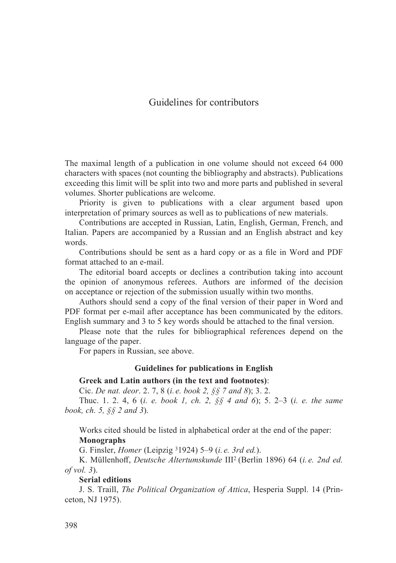# Guidelines for contributors

The maximal length of a publication in one volume should not exceed 64 000 characters with spaces (not counting the bibliography and abstracts). Publications exceeding this limit will be split into two and more parts and published in several volumes. Shorter publications are welcome.

Priority is given to publications with a clear argument based upon interpretation of primary sources as well as to publications of new materials.

Contributions are accepted in Russian, Latin, English, German, French, and Italian. Papers are accompanied by a Russian and an English abstract and key words.

Contributions should be sent as a hard copy or as a file in Word and PDF format attached to an e-mail.

The editorial board accepts or declines a contribution taking into account the opinion of anonymous referees. Authors are informed of the decision on acceptance or rejection of the submission usually within two months.

Authors should send a copy of the final version of their paper in Word and PDF format per e-mail after acceptance has been communicated by the editors. English summary and 3 to 5 key words should be attached to the final version.

Please note that the rules for bibliographical references depend on the language of the paper.

For papers in Russian, see above.

### **Guidelines for publications in English**

#### **Greek and Latin authors (in the text and footnotes)**:

Cic. *De nat. deor*. 2. 7, 8 (*i. е. book 2, §§ 7 and 8*); 3. 2.

Thuc. 1. 2. 4, 6 (*i. e. book 1, ch. 2, §§ 4 and 6*); 5. 2–3 (*i. e. the same book, ch. 5, §§ 2 and 3*).

Works cited should be listed in alphabetical order at the end of the paper: **Monographs**

G. Finsler, *Homer* (Leipzig 31924) 5–9 (*i. е. 3rd ed.*).

K. Müllenhoff, *Deutsche Altertumskunde* III<sup>2</sup> (Berlin 1896) 64 (*i. e. 2nd ed. of vol. 3*).

**Serial editions**

J. S. Traill, *The Political Organization of Attica*, Hesperia Suppl. 14 (Princeton, NJ 1975).